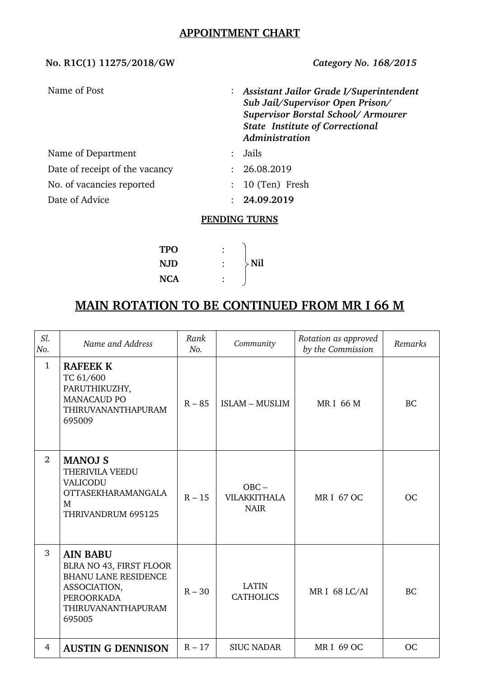## **APPOINTMENT CHART**

## **No. R1C(1) 11275/2018/GW** *Category No. 168/2015*

| Name of Post                   | : Assistant Jailor Grade I/Superintendent<br>Sub Jail/Supervisor Open Prison/<br>Supervisor Borstal School/Armourer<br><b>State Institute of Correctional</b><br>Administration |
|--------------------------------|---------------------------------------------------------------------------------------------------------------------------------------------------------------------------------|
| Name of Department             | Jails                                                                                                                                                                           |
| Date of receipt of the vacancy | : 26.08.2019                                                                                                                                                                    |
| No. of vacancies reported      | $: 10$ (Ten) Fresh                                                                                                                                                              |
| Date of Advice                 | : 24.09.2019                                                                                                                                                                    |
|                                | <b>DEMIDIMIA TEIDNA</b>                                                                                                                                                         |

### **PENDING TURNS**

| TPO        |               |
|------------|---------------|
| <b>NJD</b> | $\rangle$ Nil |
| NCA        |               |

# **MAIN ROTATION TO BE CONTINUED FROM MR I 66 M**

| Sl.<br>No.     | Name and Address                                                                                                                               | Rank<br>No. | Community                                     | Rotation as approved<br>by the Commission | Remarks   |
|----------------|------------------------------------------------------------------------------------------------------------------------------------------------|-------------|-----------------------------------------------|-------------------------------------------|-----------|
| $\mathbf{1}$   | <b>RAFEEK K</b><br>TC 61/600<br>PARUTHIKUZHY,<br><b>MANACAUD PO</b><br>THIRUVANANTHAPURAM<br>695009                                            | $R - 85$    | <b>ISLAM - MUSLIM</b>                         | <b>MRI 66 M</b>                           | <b>BC</b> |
| 2              | <b>MANOJ S</b><br>THERIVILA VEEDU<br>VALICODU<br><b>OTTASEKHARAMANGALA</b><br>M<br>THRIVANDRUM 695125                                          | $R - 15$    | $OBC -$<br><b>VILAKKITHALA</b><br><b>NAIR</b> | <b>MRI 67 OC</b>                          | <b>OC</b> |
| 3              | <b>AIN BABU</b><br>BLRA NO 43, FIRST FLOOR<br><b>BHANU LANE RESIDENCE</b><br>ASSOCIATION,<br><b>PEROORKADA</b><br>THIRUVANANTHAPURAM<br>695005 | $R - 30$    | <b>LATIN</b><br><b>CATHOLICS</b>              | MR I 68 LC/AI                             | <b>BC</b> |
| $\overline{4}$ | <b>AUSTIN G DENNISON</b>                                                                                                                       | $R - 17$    | <b>SIUC NADAR</b>                             | <b>MRI 69 OC</b>                          | <b>OC</b> |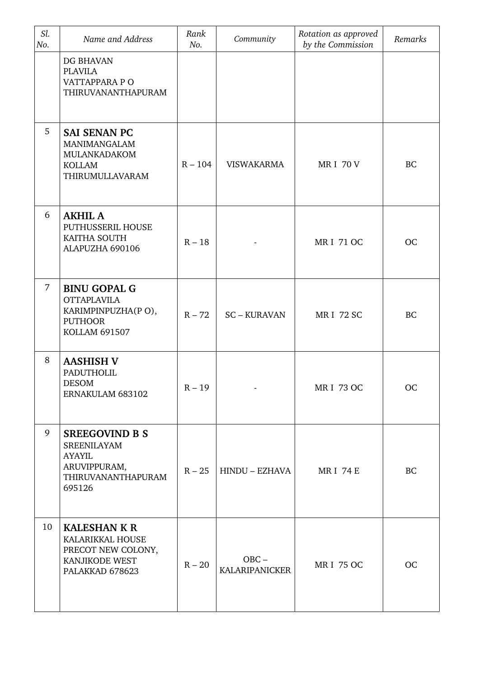| Sl.<br>No. | Name and Address                                                                                             | Rank<br>No. | Community                        | Rotation as approved<br>by the Commission | Remarks   |
|------------|--------------------------------------------------------------------------------------------------------------|-------------|----------------------------------|-------------------------------------------|-----------|
|            | DG BHAVAN<br><b>PLAVILA</b><br>VATTAPPARA PO<br>THIRUVANANTHAPURAM                                           |             |                                  |                                           |           |
| 5          | <b>SAI SENAN PC</b><br>MANIMANGALAM<br>MULANKADAKOM<br><b>KOLLAM</b><br>THIRUMULLAVARAM                      | $R - 104$   | <b>VISWAKARMA</b>                | <b>MRI 70 V</b>                           | BC        |
| 6          | <b>AKHIL A</b><br>PUTHUSSERIL HOUSE<br>KAITHA SOUTH<br>ALAPUZHA 690106                                       | $R - 18$    |                                  | <b>MRI 71 OC</b>                          | <b>OC</b> |
| 7          | <b>BINU GOPAL G</b><br><b>OTTAPLAVILA</b><br>KARIMPINPUZHA(PO),<br><b>PUTHOOR</b><br><b>KOLLAM 691507</b>    | $R - 72$    | <b>SC-KURAVAN</b>                | <b>MRI 72 SC</b>                          | <b>BC</b> |
| 8          | <b>AASHISH V</b><br><b>PADUTHOLIL</b><br><b>DESOM</b><br>ERNAKULAM 683102                                    | $R - 19$    |                                  | <b>MRI 73 OC</b>                          | OC        |
| 9          | <b>SREEGOVIND B S</b><br><b>SREENILAYAM</b><br><b>AYAYIL</b><br>ARUVIPPURAM,<br>THIRUVANANTHAPURAM<br>695126 | $R - 25$    | HINDU – EZHAVA                   | <b>MRI 74 E</b>                           | <b>BC</b> |
| 10         | <b>KALESHAN K R</b><br>KALARIKKAL HOUSE<br>PRECOT NEW COLONY,<br>KANJIKODE WEST<br>PALAKKAD 678623           | $R - 20$    | $OBC -$<br><b>KALARIPANICKER</b> | <b>MRI 75 OC</b>                          | <b>OC</b> |